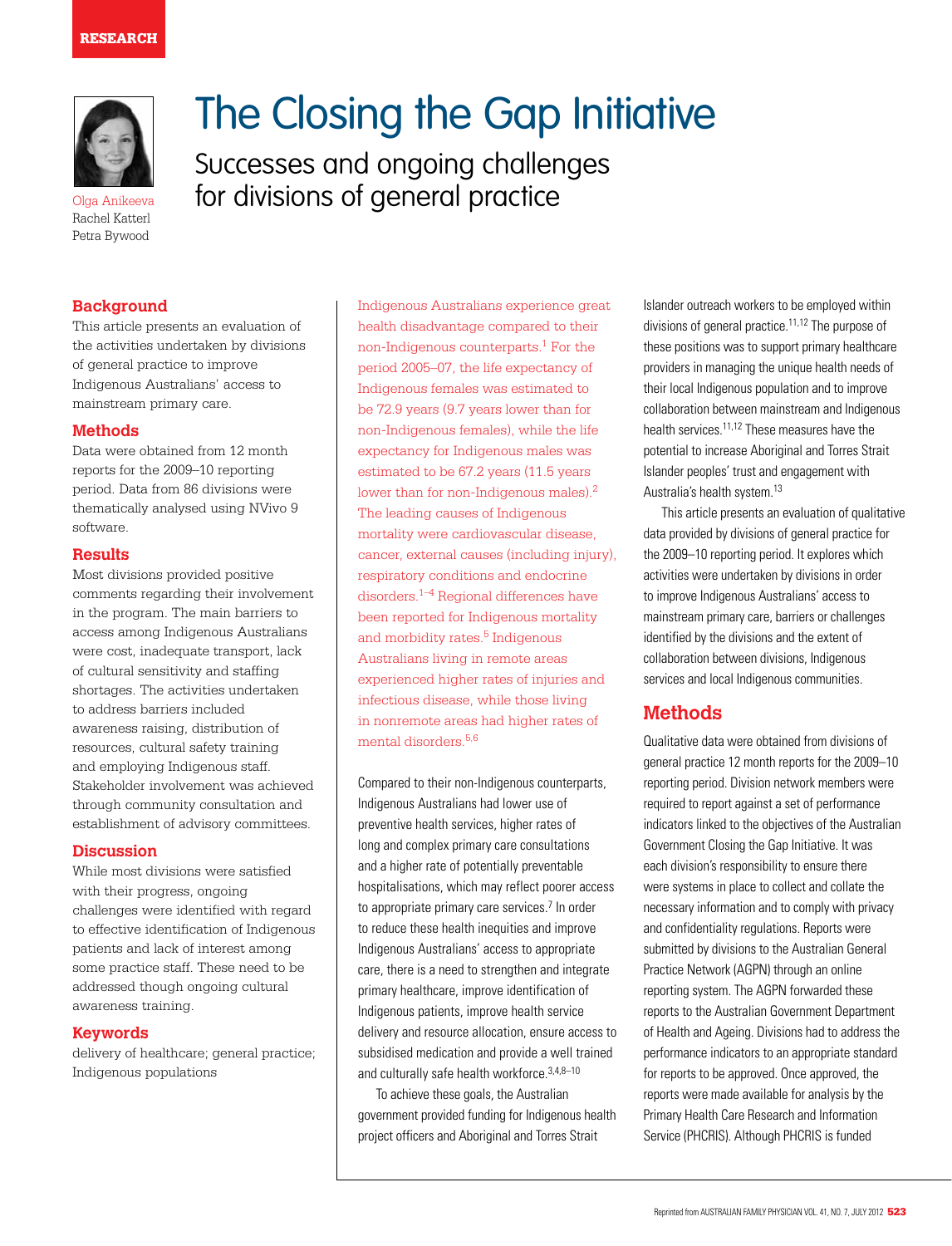

# The Closing the Gap Initiative

Successes and ongoing challenges for divisions of general practice

Olga Anikeeva Rachel Katterl Petra Bywood

#### **Background**

This article presents an evaluation of the activities undertaken by divisions of general practice to improve Indigenous Australians' access to mainstream primary care.

#### **Methods**

Data were obtained from 12 month reports for the 2009–10 reporting period. Data from 86 divisions were thematically analysed using NVivo 9 software.

#### **Results**

Most divisions provided positive comments regarding their involvement in the program. The main barriers to access among Indigenous Australians were cost, inadequate transport, lack of cultural sensitivity and staffing shortages. The activities undertaken to address barriers included awareness raising, distribution of resources, cultural safety training and employing Indigenous staff. Stakeholder involvement was achieved through community consultation and establishment of advisory committees.

#### **Discussion**

While most divisions were satisfied with their progress, ongoing challenges were identified with regard to effective identification of Indigenous patients and lack of interest among some practice staff. These need to be addressed though ongoing cultural awareness training.

#### **Keywords**

delivery of healthcare; general practice; Indigenous populations

Indigenous Australians experience great health disadvantage compared to their non-Indigenous counterparts.1 For the period 2005–07, the life expectancy of Indigenous females was estimated to be 72.9 years (9.7 years lower than for non-Indigenous females), while the life expectancy for Indigenous males was estimated to be 67.2 years (11.5 years lower than for non-Indigenous males).2 The leading causes of Indigenous mortality were cardiovascular disease, cancer, external causes (including injury), respiratory conditions and endocrine disorders.1–4 Regional differences have been reported for Indigenous mortality and morbidity rates.<sup>5</sup> Indigenous Australians living in remote areas experienced higher rates of injuries and infectious disease, while those living in nonremote areas had higher rates of mental disorders.<sup>5,6</sup>

Compared to their non-Indigenous counterparts, Indigenous Australians had lower use of preventive health services, higher rates of long and complex primary care consultations and a higher rate of potentially preventable hospitalisations, which may reflect poorer access to appropriate primary care services.<sup>7</sup> In order to reduce these health inequities and improve Indigenous Australians' access to appropriate care, there is a need to strengthen and integrate primary healthcare, improve identification of Indigenous patients, improve health service delivery and resource allocation, ensure access to subsidised medication and provide a well trained and culturally safe health workforce.<sup>3,4,8-10</sup>

To achieve these goals, the Australian government provided funding for Indigenous health project officers and Aboriginal and Torres Strait

Islander outreach workers to be employed within divisions of general practice.<sup>11,12</sup> The purpose of these positions was to support primary healthcare providers in managing the unique health needs of their local Indigenous population and to improve collaboration between mainstream and Indigenous health services.11,12 These measures have the potential to increase Aboriginal and Torres Strait Islander peoples' trust and engagement with Australia's health system.13

This article presents an evaluation of qualitative data provided by divisions of general practice for the 2009–10 reporting period. It explores which activities were undertaken by divisions in order to improve Indigenous Australians' access to mainstream primary care, barriers or challenges identified by the divisions and the extent of collaboration between divisions, Indigenous services and local Indigenous communities.

# **Methods**

Qualitative data were obtained from divisions of general practice 12 month reports for the 2009–10 reporting period. Division network members were required to report against a set of performance indicators linked to the objectives of the Australian Government Closing the Gap Initiative. It was each division's responsibility to ensure there were systems in place to collect and collate the necessary information and to comply with privacy and confidentiality regulations. Reports were submitted by divisions to the Australian General Practice Network (AGPN) through an online reporting system. The AGPN forwarded these reports to the Australian Government Department of Health and Ageing. Divisions had to address the performance indicators to an appropriate standard for reports to be approved. Once approved, the reports were made available for analysis by the Primary Health Care Research and Information Service (PHCRIS). Although PHCRIS is funded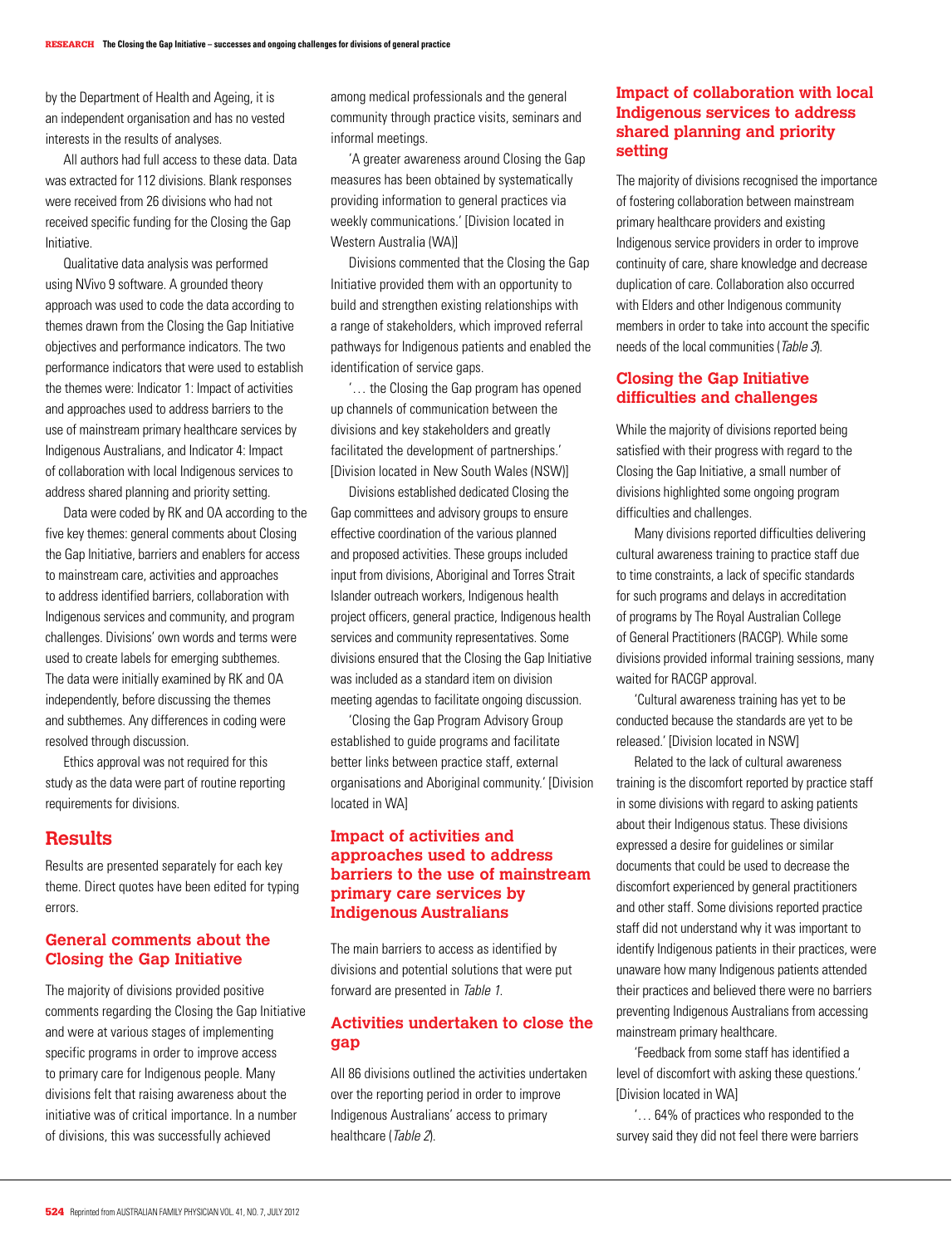by the Department of Health and Ageing, it is an independent organisation and has no vested interests in the results of analyses.

All authors had full access to these data. Data was extracted for 112 divisions. Blank responses were received from 26 divisions who had not received specific funding for the Closing the Gap Initiative.

Qualitative data analysis was performed using NVivo 9 software. A grounded theory approach was used to code the data according to themes drawn from the Closing the Gap Initiative objectives and performance indicators. The two performance indicators that were used to establish the themes were: Indicator 1: Impact of activities and approaches used to address barriers to the use of mainstream primary healthcare services by Indigenous Australians, and Indicator 4: Impact of collaboration with local Indigenous services to address shared planning and priority setting.

Data were coded by RK and OA according to the five key themes: general comments about Closing the Gap Initiative, barriers and enablers for access to mainstream care, activities and approaches to address identified barriers, collaboration with Indigenous services and community, and program challenges. Divisions' own words and terms were used to create labels for emerging subthemes. The data were initially examined by RK and OA independently, before discussing the themes and subthemes. Any differences in coding were resolved through discussion.

Ethics approval was not required for this study as the data were part of routine reporting requirements for divisions.

## **Results**

Results are presented separately for each key theme. Direct quotes have been edited for typing errors.

#### **General comments about the Closing the Gap Initiative**

The majority of divisions provided positive comments regarding the Closing the Gap Initiative and were at various stages of implementing specific programs in order to improve access to primary care for Indigenous people. Many divisions felt that raising awareness about the initiative was of critical importance. In a number of divisions, this was successfully achieved

among medical professionals and the general community through practice visits, seminars and informal meetings.

'A greater awareness around Closing the Gap measures has been obtained by systematically providing information to general practices via weekly communications.' [Division located in Western Australia (WA)]

Divisions commented that the Closing the Gap Initiative provided them with an opportunity to build and strengthen existing relationships with a range of stakeholders, which improved referral pathways for Indigenous patients and enabled the identification of service gaps.

'… the Closing the Gap program has opened up channels of communication between the divisions and key stakeholders and greatly facilitated the development of partnerships.' [Division located in New South Wales (NSW)]

Divisions established dedicated Closing the Gap committees and advisory groups to ensure effective coordination of the various planned and proposed activities. These groups included input from divisions, Aboriginal and Torres Strait Islander outreach workers, Indigenous health project officers, general practice, Indigenous health services and community representatives. Some divisions ensured that the Closing the Gap Initiative was included as a standard item on division meeting agendas to facilitate ongoing discussion.

'Closing the Gap Program Advisory Group established to guide programs and facilitate better links between practice staff, external organisations and Aboriginal community.' [Division located in WA]

#### **Impact of activities and approaches used to address barriers to the use of mainstream primary care services by Indigenous Australians**

The main barriers to access as identified by divisions and potential solutions that were put forward are presented in Table 1.

#### **Activities undertaken to close the gap**

All 86 divisions outlined the activities undertaken over the reporting period in order to improve Indigenous Australians' access to primary healthcare (Table 2).

#### **Impact of collaboration with local Indigenous services to address shared planning and priority setting**

The majority of divisions recognised the importance of fostering collaboration between mainstream primary healthcare providers and existing Indigenous service providers in order to improve continuity of care, share knowledge and decrease duplication of care. Collaboration also occurred with Elders and other Indigenous community members in order to take into account the specific needs of the local communities (Table 3).

#### **Closing the Gap Initiative difficulties and challenges**

While the majority of divisions reported being satisfied with their progress with regard to the Closing the Gap Initiative, a small number of divisions highlighted some ongoing program difficulties and challenges.

Many divisions reported difficulties delivering cultural awareness training to practice staff due to time constraints, a lack of specific standards for such programs and delays in accreditation of programs by The Royal Australian College of General Practitioners (RACGP). While some divisions provided informal training sessions, many waited for RACGP approval.

'Cultural awareness training has yet to be conducted because the standards are yet to be released.' [Division located in NSW]

Related to the lack of cultural awareness training is the discomfort reported by practice staff in some divisions with regard to asking patients about their Indigenous status. These divisions expressed a desire for guidelines or similar documents that could be used to decrease the discomfort experienced by general practitioners and other staff. Some divisions reported practice staff did not understand why it was important to identify Indigenous patients in their practices, were unaware how many Indigenous patients attended their practices and believed there were no barriers preventing Indigenous Australians from accessing mainstream primary healthcare.

'Feedback from some staff has identified a level of discomfort with asking these questions.' [Division located in WA]

'… 64% of practices who responded to the survey said they did not feel there were barriers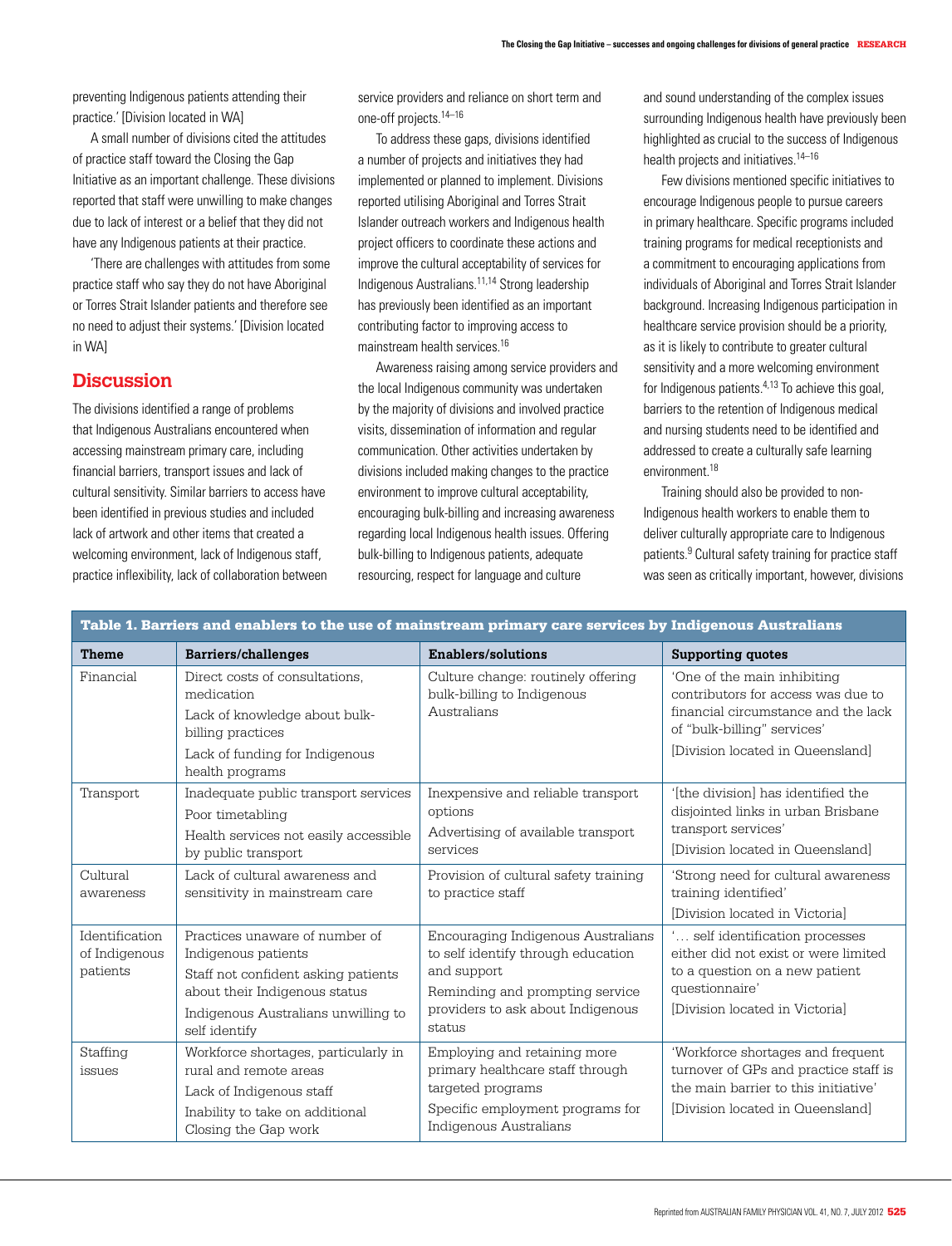preventing Indigenous patients attending their practice.' [Division located in WA]

A small number of divisions cited the attitudes of practice staff toward the Closing the Gap Initiative as an important challenge. These divisions reported that staff were unwilling to make changes due to lack of interest or a belief that they did not have any Indigenous patients at their practice.

'There are challenges with attitudes from some practice staff who say they do not have Aboriginal or Torres Strait Islander patients and therefore see no need to adjust their systems.' [Division located in WA]

## **Discussion**

The divisions identified a range of problems that Indigenous Australians encountered when accessing mainstream primary care, including financial barriers, transport issues and lack of cultural sensitivity. Similar barriers to access have been identified in previous studies and included lack of artwork and other items that created a welcoming environment, lack of Indigenous staff, practice inflexibility, lack of collaboration between service providers and reliance on short term and one-off projects.14–16

To address these gaps, divisions identified a number of projects and initiatives they had implemented or planned to implement. Divisions reported utilising Aboriginal and Torres Strait Islander outreach workers and Indigenous health project officers to coordinate these actions and improve the cultural acceptability of services for Indigenous Australians.11,14 Strong leadership has previously been identified as an important contributing factor to improving access to mainstream health services.16

Awareness raising among service providers and the local Indigenous community was undertaken by the majority of divisions and involved practice visits, dissemination of information and regular communication. Other activities undertaken by divisions included making changes to the practice environment to improve cultural acceptability, encouraging bulk-billing and increasing awareness regarding local Indigenous health issues. Offering bulk-billing to Indigenous patients, adequate resourcing, respect for language and culture

and sound understanding of the complex issues surrounding Indigenous health have previously been highlighted as crucial to the success of Indigenous health projects and initiatives.14–16

Few divisions mentioned specific initiatives to encourage Indigenous people to pursue careers in primary healthcare. Specific programs included training programs for medical receptionists and a commitment to encouraging applications from individuals of Aboriginal and Torres Strait Islander background. Increasing Indigenous participation in healthcare service provision should be a priority, as it is likely to contribute to greater cultural sensitivity and a more welcoming environment for Indigenous patients. $4,13$  To achieve this goal, barriers to the retention of Indigenous medical and nursing students need to be identified and addressed to create a culturally safe learning environment.<sup>18</sup>

Training should also be provided to non-Indigenous health workers to enable them to deliver culturally appropriate care to Indigenous patients.<sup>9</sup> Cultural safety training for practice staff was seen as critically important, however, divisions

| Table 1. Barriers and enablers to the use of mainstream primary care services by Indigenous Australians |                                                                                                                                                                                       |                                                                                                                                                                           |                                                                                                                                                                             |  |  |  |
|---------------------------------------------------------------------------------------------------------|---------------------------------------------------------------------------------------------------------------------------------------------------------------------------------------|---------------------------------------------------------------------------------------------------------------------------------------------------------------------------|-----------------------------------------------------------------------------------------------------------------------------------------------------------------------------|--|--|--|
| <b>Theme</b>                                                                                            | Barriers/challenges                                                                                                                                                                   | Enablers/solutions                                                                                                                                                        | <b>Supporting quotes</b>                                                                                                                                                    |  |  |  |
| Financial                                                                                               | Direct costs of consultations.<br>medication<br>Lack of knowledge about bulk-<br>billing practices<br>Lack of funding for Indigenous<br>health programs                               | Culture change: routinely offering<br>bulk-billing to Indigenous<br>Australians                                                                                           | 'One of the main inhibiting<br>contributors for access was due to<br>financial circumstance and the lack<br>of "bulk-billing" services'<br>[Division located in Queensland] |  |  |  |
| Transport                                                                                               | Inadequate public transport services<br>Poor timetabling<br>Health services not easily accessible<br>by public transport                                                              | Inexpensive and reliable transport<br>options<br>Advertising of available transport<br>services                                                                           | '[the division] has identified the<br>disjointed links in urban Brisbane<br>transport services'<br>[Division located in Queensland]                                         |  |  |  |
| Cultural<br>awareness                                                                                   | Lack of cultural awareness and<br>sensitivity in mainstream care                                                                                                                      | Provision of cultural safety training<br>to practice staff                                                                                                                | 'Strong need for cultural awareness<br>training identified'<br>[Division located in Victoria]                                                                               |  |  |  |
| Identification<br>of Indigenous<br>patients                                                             | Practices unaware of number of<br>Indigenous patients<br>Staff not confident asking patients<br>about their Indigenous status<br>Indigenous Australians unwilling to<br>self identify | Encouraging Indigenous Australians<br>to self identify through education<br>and support<br>Reminding and prompting service<br>providers to ask about Indigenous<br>status | ' self identification processes<br>either did not exist or were limited<br>to a question on a new patient<br>questionnaire'<br>Division located in Victorial                |  |  |  |
| Staffing<br>issues                                                                                      | Workforce shortages, particularly in<br>rural and remote areas<br>Lack of Indigenous staff<br>Inability to take on additional<br>Closing the Gap work                                 | Employing and retaining more<br>primary healthcare staff through<br>targeted programs<br>Specific employment programs for<br>Indigenous Australians                       | 'Workforce shortages and frequent<br>turnover of GPs and practice staff is<br>the main barrier to this initiative'<br>[Division located in Queensland]                      |  |  |  |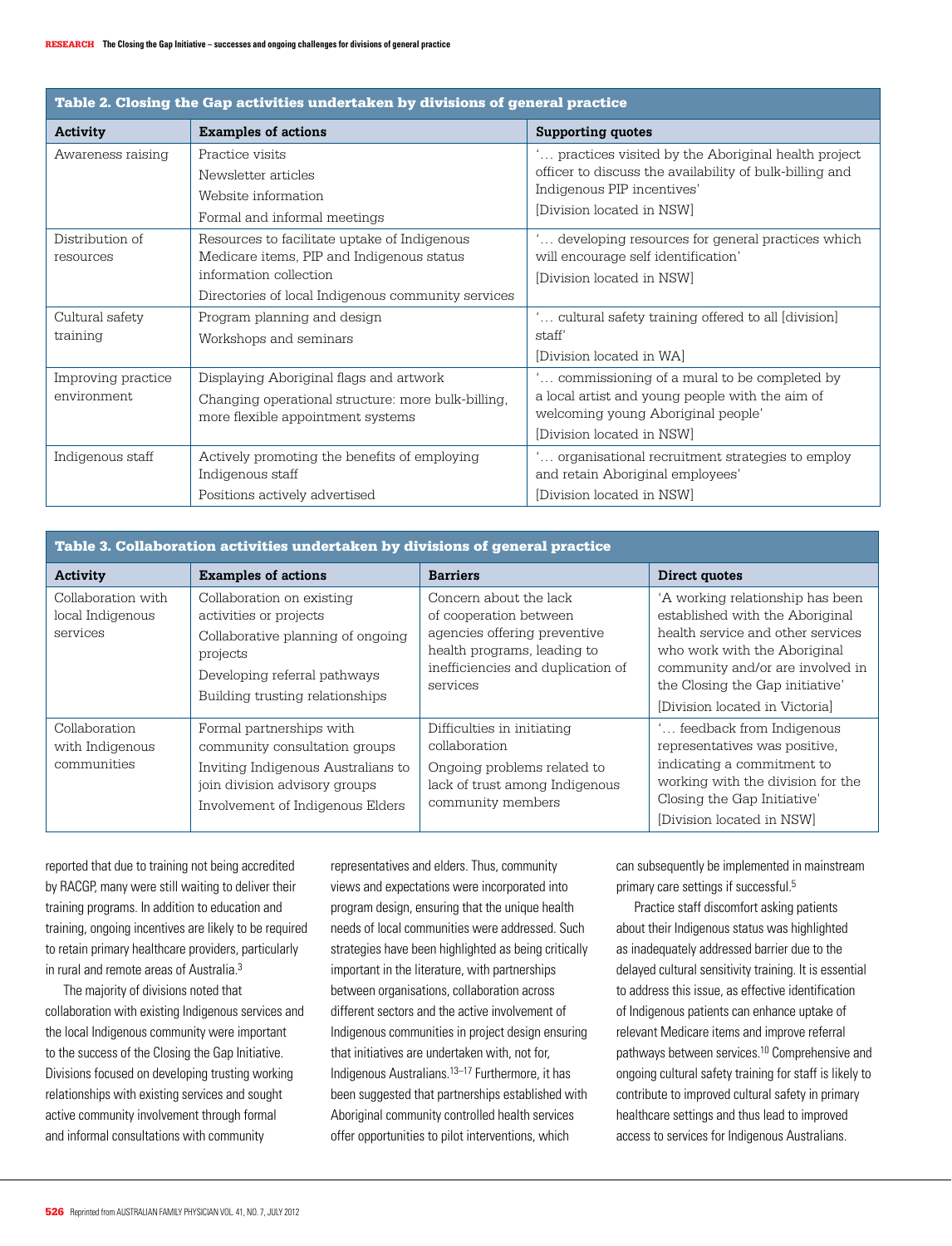| Table 2. Closing the Gap activities undertaken by divisions of general practice |                                                    |                                                         |  |  |  |
|---------------------------------------------------------------------------------|----------------------------------------------------|---------------------------------------------------------|--|--|--|
| Activity                                                                        | <b>Examples of actions</b>                         | <b>Supporting quotes</b>                                |  |  |  |
| Awareness raising                                                               | Practice visits                                    | practices visited by the Aboriginal health project      |  |  |  |
|                                                                                 | Newsletter articles                                | officer to discuss the availability of bulk-billing and |  |  |  |
|                                                                                 | Website information                                | Indigenous PIP incentives'                              |  |  |  |
|                                                                                 | Formal and informal meetings                       | [Division located in NSW]                               |  |  |  |
| Distribution of                                                                 | Resources to facilitate uptake of Indigenous       | developing resources for general practices which        |  |  |  |
| resources                                                                       | Medicare items, PIP and Indigenous status          | will encourage self identification'                     |  |  |  |
|                                                                                 | information collection                             | [Division located in NSW]                               |  |  |  |
|                                                                                 | Directories of local Indigenous community services |                                                         |  |  |  |
| Cultural safety                                                                 | Program planning and design                        | " cultural safety training offered to all [division]    |  |  |  |
| training                                                                        | Workshops and seminars                             | staff'                                                  |  |  |  |
|                                                                                 |                                                    | [Division located in WA]                                |  |  |  |
| Improving practice                                                              | Displaying Aboriginal flags and artwork            | commissioning of a mural to be completed by             |  |  |  |
| environment                                                                     | Changing operational structure: more bulk-billing, | a local artist and young people with the aim of         |  |  |  |
|                                                                                 | more flexible appointment systems                  | welcoming young Aboriginal people'                      |  |  |  |
|                                                                                 |                                                    | [Division located in NSW]                               |  |  |  |
| Indigenous staff                                                                | Actively promoting the benefits of employing       | organisational recruitment strategies to employ         |  |  |  |
|                                                                                 | Indigenous staff                                   | and retain Aboriginal employees'                        |  |  |  |
|                                                                                 | Positions actively advertised                      | [Division located in NSW]                               |  |  |  |

| Table 3. Collaboration activities undertaken by divisions of general practice |                                                                                                                                                                         |                                                                                                                                                                  |                                                                                                                                                                                                                                                  |  |  |  |
|-------------------------------------------------------------------------------|-------------------------------------------------------------------------------------------------------------------------------------------------------------------------|------------------------------------------------------------------------------------------------------------------------------------------------------------------|--------------------------------------------------------------------------------------------------------------------------------------------------------------------------------------------------------------------------------------------------|--|--|--|
| Activity                                                                      | <b>Examples of actions</b>                                                                                                                                              | <b>Barriers</b>                                                                                                                                                  | Direct quotes                                                                                                                                                                                                                                    |  |  |  |
| Collaboration with<br>local Indigenous<br>services                            | Collaboration on existing<br>activities or projects<br>Collaborative planning of ongoing<br>projects<br>Developing referral pathways<br>Building trusting relationships | Concern about the lack<br>of cooperation between<br>agencies offering preventive<br>health programs, leading to<br>inefficiencies and duplication of<br>services | 'A working relationship has been<br>established with the Aboriginal<br>health service and other services<br>who work with the Aboriginal<br>community and/or are involved in<br>the Closing the Gap initiative'<br>Division located in Victorial |  |  |  |
| Collaboration<br>with Indigenous<br>communities                               | Formal partnerships with<br>community consultation groups<br>Inviting Indigenous Australians to<br>join division advisory groups<br>Involvement of Indigenous Elders    | Difficulties in initiating<br>collaboration<br>Ongoing problems related to<br>lack of trust among Indigenous<br>community members                                | feedback from Indigenous<br>representatives was positive.<br>indicating a commitment to<br>working with the division for the<br>Closing the Gap Initiative'<br>[Division located in NSW]                                                         |  |  |  |

reported that due to training not being accredited by RACGP, many were still waiting to deliver their training programs. In addition to education and training, ongoing incentives are likely to be required to retain primary healthcare providers, particularly in rural and remote areas of Australia.3

The majority of divisions noted that collaboration with existing Indigenous services and the local Indigenous community were important to the success of the Closing the Gap Initiative. Divisions focused on developing trusting working relationships with existing services and sought active community involvement through formal and informal consultations with community

representatives and elders. Thus, community views and expectations were incorporated into program design, ensuring that the unique health needs of local communities were addressed. Such strategies have been highlighted as being critically important in the literature, with partnerships between organisations, collaboration across different sectors and the active involvement of Indigenous communities in project design ensuring that initiatives are undertaken with, not for, Indigenous Australians.<sup>13–17</sup> Furthermore, it has been suggested that partnerships established with Aboriginal community controlled health services offer opportunities to pilot interventions, which

can subsequently be implemented in mainstream primary care settings if successful.<sup>5</sup>

Practice staff discomfort asking patients about their Indigenous status was highlighted as inadequately addressed barrier due to the delayed cultural sensitivity training. It is essential to address this issue, as effective identification of Indigenous patients can enhance uptake of relevant Medicare items and improve referral pathways between services.10 Comprehensive and ongoing cultural safety training for staff is likely to contribute to improved cultural safety in primary healthcare settings and thus lead to improved access to services for Indigenous Australians.